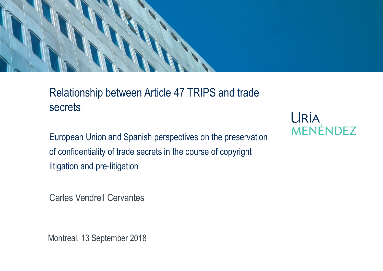#### Relationship between Article 47 TRIPS and trade secrets

European Union and Spanish perspectives on the preservation of confidentiality of trade secrets in the course of copyright litigation and pre-litigation

Carles Vendrell Cervantes

Montreal, 13 September 2018

URÍA **MENÉNDEZ**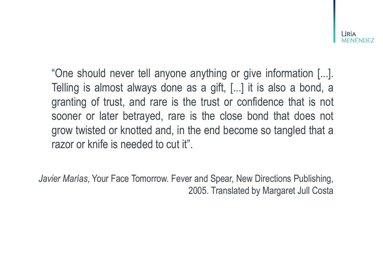-lríz

"One should never tell anyone anything or give information [...]. Telling is almost always done as a gift, [...] it is also a bond, a granting of trust, and rare is the trust or confidence that is not sooner or later betrayed, rare is the close bond that does not grow twisted or knotted and, in the end become so tangled that a razor or knife is needed to cut it".

*Javier Marías*, Your Face Tomorrow. Fever and Spear, New Directions Publishing, 2005. Translated by Margaret Jull Costa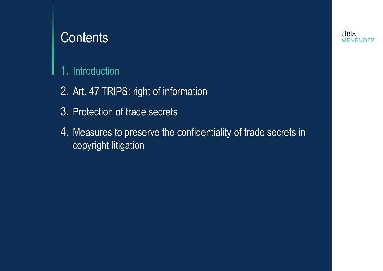#### **Contents**

#### 1. Introduction

- 2. Art. 47 TRIPS: right of information
- 3. Protection of trade secrets
- 4. Measures to preserve the confidentiality of trade secrets in copyright litigation

**URÍA MENÉNDEZ**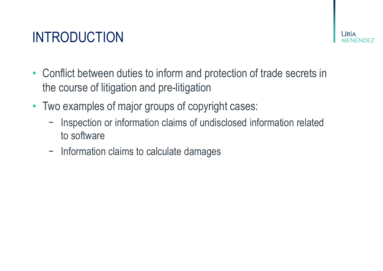# INTRODUCTION

- Conflict between duties to inform and protection of trade secrets in the course of litigation and pre-litigation
- Two examples of major groups of copyright cases:
	- − Inspection or information claims of undisclosed information related to software
	- − Information claims to calculate damages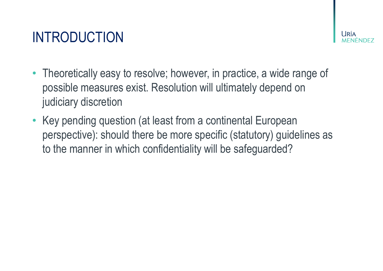## INTRODUCTION

- Theoretically easy to resolve; however, in practice, a wide range of possible measures exist. Resolution will ultimately depend on judiciary discretion
- Key pending question (at least from a continental European perspective): should there be more specific (statutory) guidelines as to the manner in which confidentiality will be safeguarded?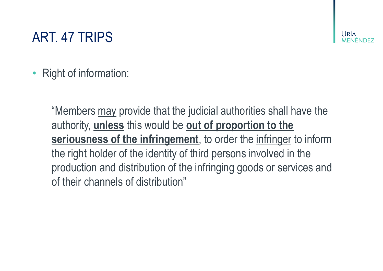## ART. 47 TRIPS

. IRÍZ

Right of information:

"Members may provide that the judicial authorities shall have the authority, **unless** this would be **out of proportion to the seriousness of the infringement**, to order the infringer to inform the right holder of the identity of third persons involved in the production and distribution of the infringing goods or services and of their channels of distribution"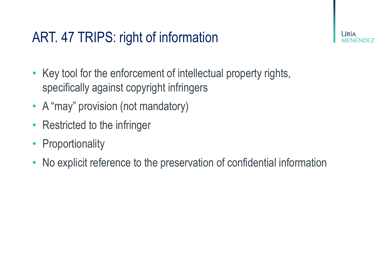## ART. 47 TRIPS: right of information

- Key tool for the enforcement of intellectual property rights, specifically against copyright infringers
- A "may" provision (not mandatory)
- **Restricted to the infringer**
- Proportionality
- No explicit reference to the preservation of confidential information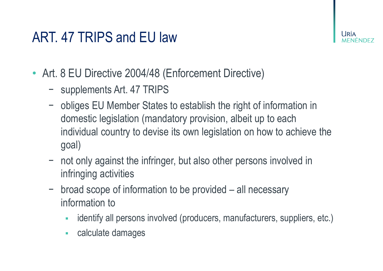

- Art. 8 EU Directive 2004/48 (Enforcement Directive)
	- − supplements Art. 47 TRIPS
	- − obliges EU Member States to establish the right of information in domestic legislation (mandatory provision, albeit up to each individual country to devise its own legislation on how to achieve the goal)
	- − not only against the infringer, but also other persons involved in infringing activities
	- − broad scope of information to be provided all necessary information to
		- identify all persons involved (producers, manufacturers, suppliers, etc.)
		- calculate damages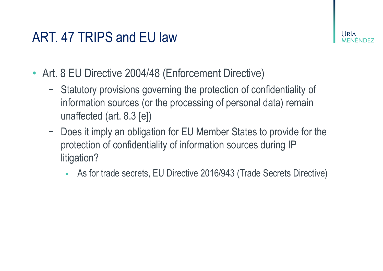- Art. 8 EU Directive 2004/48 (Enforcement Directive)
	- − Statutory provisions governing the protection of confidentiality of information sources (or the processing of personal data) remain unaffected (art. 8.3 [e])
	- − Does it imply an obligation for EU Member States to provide for the protection of confidentiality of information sources during IP litigation?
		- As for trade secrets, EU Directive 2016/943 (Trade Secrets Directive)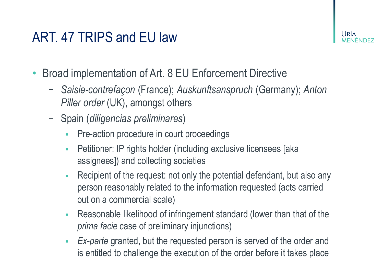- Broad implementation of Art. 8 EU Enforcement Directive
	- − *Saisie-contrefaçon* (France); *Auskunftsanspruch* (Germany); *Anton Piller order* (UK), amongst others
	- − Spain (*diligencias preliminares*)
		- **Pre-action procedure in court proceedings**
		- **EXECTE:** Petitioner: IP rights holder (including exclusive licensees [aka assignees]) and collecting societies
		- Recipient of the request: not only the potential defendant, but also any person reasonably related to the information requested (acts carried out on a commercial scale)
		- **Reasonable likelihood of infringement standard (lower than that of the** *prima facie* case of preliminary injunctions)
		- **Ex-parte granted, but the requested person is served of the order and** is entitled to challenge the execution of the order before it takes place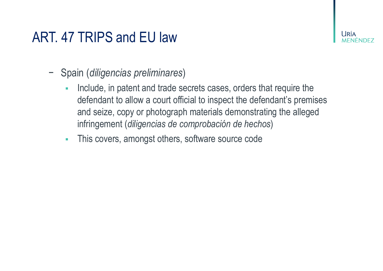- − Spain (*diligencias preliminares*)
	- **EXEDEE:** Include, in patent and trade secrets cases, orders that require the defendant to allow a court official to inspect the defendant's premises and seize, copy or photograph materials demonstrating the alleged infringement (*diligencias de comprobación de hechos*)
	- **This covers, amongst others, software source code**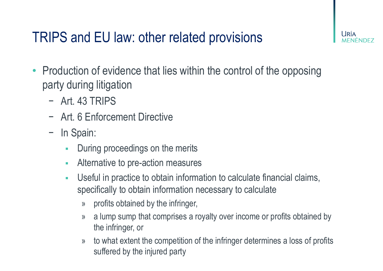## TRIPS and EU law: other related provisions

- Production of evidence that lies within the control of the opposing party during litigation
	- − Art. 43 TRIPS
	- − Art. 6 Enforcement Directive
	- − In Spain:
		- **During proceedings on the merits**
		- **EXED:** Alternative to pre-action measures
		- **EXEC** Useful in practice to obtain information to calculate financial claims, specifically to obtain information necessary to calculate
			- » profits obtained by the infringer,
			- » a lump sump that comprises a royalty over income or profits obtained by the infringer, or
			- » to what extent the competition of the infringer determines a loss of profits suffered by the injured party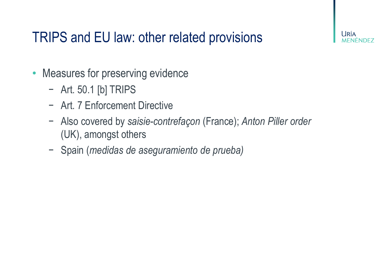## TRIPS and EU law: other related provisions

- Measures for preserving evidence
	- − Art. 50.1 [b] TRIPS
	- − Art. 7 Enforcement Directive
	- − Also covered by *saisie-contrefaçon* (France); *Anton Piller order* (UK), amongst others
	- − Spain (*medidas de aseguramiento de prueba)*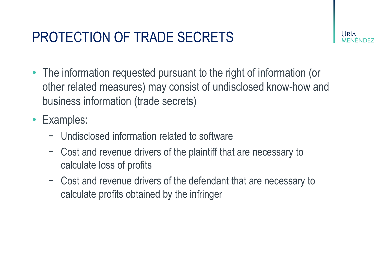## PROTECTION OF TRADE SECRETS



- The information requested pursuant to the right of information (or other related measures) may consist of undisclosed know-how and business information (trade secrets)
- Examples:
	- − Undisclosed information related to software
	- − Cost and revenue drivers of the plaintiff that are necessary to calculate loss of profits
	- − Cost and revenue drivers of the defendant that are necessary to calculate profits obtained by the infringer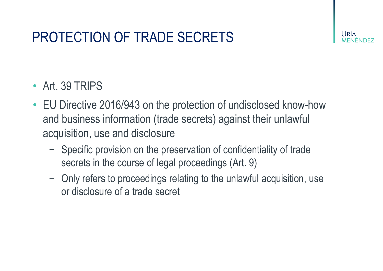## PROTECTION OF TRADE SECRETS

#### • Art. 39 TRIPS

- EU Directive 2016/943 on the protection of undisclosed know-how and business information (trade secrets) against their unlawful acquisition, use and disclosure
	- − Specific provision on the preservation of confidentiality of trade secrets in the course of legal proceedings (Art. 9)
	- − Only refers to proceedings relating to the unlawful acquisition, use or disclosure of a trade secret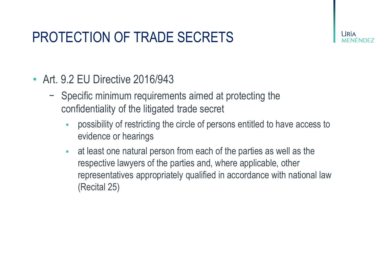## PROTECTION OF TRADE SECRETS

- Art. 9.2 EU Directive 2016/943
	- − Specific minimum requirements aimed at protecting the confidentiality of the litigated trade secret
		- possibility of restricting the circle of persons entitled to have access to evidence or hearings
		- at least one natural person from each of the parties as well as the respective lawyers of the parties and, where applicable, other representatives appropriately qualified in accordance with national law (Recital 25)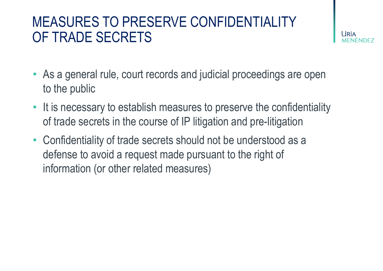#### MEASURES TO PRESERVE CONFIDENTIALITY OF TRADE SECRETS

- As a general rule, court records and judicial proceedings are open to the public
- It is necessary to establish measures to preserve the confidentiality of trade secrets in the course of IP litigation and pre-litigation
- Confidentiality of trade secrets should not be understood as a defense to avoid a request made pursuant to the right of information (or other related measures)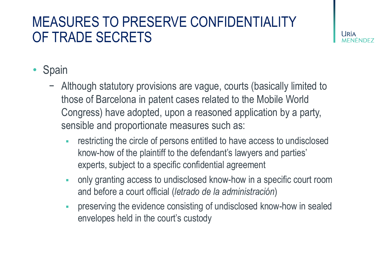#### MEASURES TO PRESERVE CONFIDENTIALITY OF TRADE SECRETS



- **Spain** 
	- − Although statutory provisions are vague, courts (basically limited to those of Barcelona in patent cases related to the Mobile World Congress) have adopted, upon a reasoned application by a party, sensible and proportionate measures such as:
		- restricting the circle of persons entitled to have access to undisclosed know-how of the plaintiff to the defendant's lawyers and parties' experts, subject to a specific confidential agreement
		- only granting access to undisclosed know-how in a specific court room and before a court official (*letrado de la administración*)
		- preserving the evidence consisting of undisclosed know-how in sealed envelopes held in the court's custody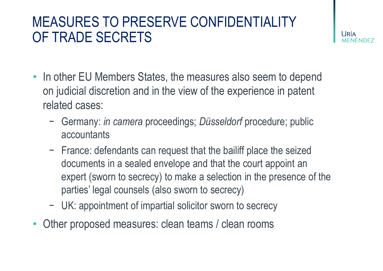#### MEASURES TO PRESERVE CONFIDENTIALITY OF TRADE SECRETS

l Iría

- In other EU Members States, the measures also seem to depend on judicial discretion and in the view of the experience in patent related cases:
	- − Germany: *in camera* proceedings; *Düsseldorf* procedure; public accountants
	- − France: defendants can request that the bailiff place the seized documents in a sealed envelope and that the court appoint an expert (sworn to secrecy) to make a selection in the presence of the parties' legal counsels (also sworn to secrecy)
	- − UK: appointment of impartial solicitor sworn to secrecy
- Other proposed measures: clean teams / clean rooms